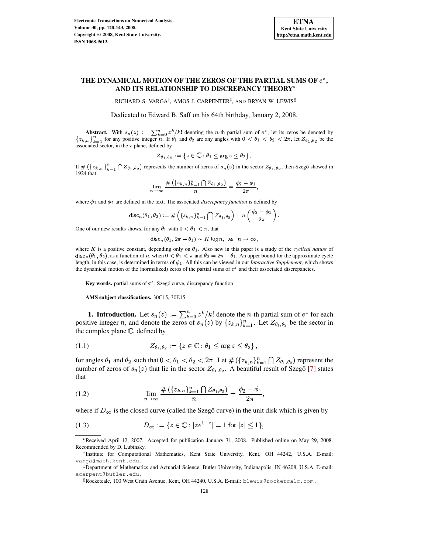# **THE DYNAMICAL MOTION OF THE ZEROS OF THE PARTIAL SUMS OF** - **, AND ITS RELATIONSHIP TO DISCREPANCY THEORY**

RICHARD S. VARGA<sup>†</sup>, AMOS J. CARPENTER<sup>‡</sup>, AND BRYAN W. LEWIS<sup>§</sup>

Dedicated to Edward B. Saff on his 64th birthday, January 2, 2008.

**Abstract.** With  $s_n(z) := \sum_{k=0}^n z^k / k!$  denoting the *n*-th partial sum of  $e^z$ , let its zeros be denoted by  $\{z_{k,n}\}_{k=1}^n$  for any positive integer *n*. If  $\theta_1$  and  $\theta_2$  are any angles with  $0 < \theta_1 < \theta_2 < 2\pi$ , let associated sector, in the z-plane, defined by

$$
{Z }_{\theta_1,\,\theta_2}:=\left\{z\in\mathbb C: \theta_1\leq \arg z\leq \theta_2\right\}.
$$

If  $\#\left(\{z_{k,n}\}_{k=1}^n\bigcap Z_{\theta_1,\theta_2}\right)$  represents the number of zeros of  $s_n(z)$  in the sector  $Z_{\theta_1,\theta_2}$ , then Szegő showed in 1924 that

$$
\lim_{n\to\infty}\frac{\#\left(\{z_{k,n}\}_{k=1}^n\bigcap Z_{\theta_1,\theta_2}\right)}{n}=\frac{\phi_2-\phi_1}{2\pi},
$$

where  $\phi_1$  and  $\phi_2$  are defined in the text. The associated *discrepancy function* is defined by

$$
\mathrm{disc}_n(\theta_1,\theta_2):=\#\left(\{z_{k,n}\}_{k=1}^n\bigcap Z_{\theta_1,\theta_2}\right)-n\left(\frac{\phi_2-\phi_1}{2\pi}\right).
$$

One of our new results shows, for any  $\theta_1$  with  $0 < \theta_1 < \pi$ , that

$$
\mathrm{disc}_n(\theta_1, 2\pi - \theta_1) \sim K \log n, \text{ as } n \to \infty,
$$

where K is a positive constant, depending only on  $\theta_1$ . Also new in this paper is a study of the *cyclical nature* of  $\text{disc}_n(\theta_1, \theta_2)$ , as a function of n, when  $0 < \theta_1 < \pi$  and  $\theta_2 = 2\pi - \theta_1$ . An upper bound for the approximate cycle length, in this case, is determined in terms of  $\phi_1$ . All this can be viewed in our *Interactive Supplement*, which shows the dynamical motion of the (normalized) zeros of the partial sums of  $e^z$  and their associated discrepancies.

**Key** words. partial sums of  $e^z$ , Szegő curve, discrepancy function

**AMS subject classifications.** 30C15, 30E15

**1. Introduction.** Let  $s_n(z) := \sum_{k=0}^n z^k / k!$  denote the *n*-th partial sum of  $e^z$  for each positive integer *n*, and denote the zeros of  $s_n(z)$  by  $\{z_{k,n}\}_{k=1}^n$ . Let  $Z_{\theta_1,\theta_2}$  be the sector in the complex plane  $\mathbb{C}$ , defined by

<span id="page-0-2"></span>
$$
(1.1) \t Z_{\theta_1, \theta_2} := \{ z \in \mathbb{C} : \theta_1 \le \arg z \le \theta_2 \},
$$

for angles  $\theta_1$  and  $\theta_2$  such that  $0 < \theta_1 < \theta_2 < 2\pi$ . Let  $\#\left(\{z_{k,n}\}_{k=1}^n \bigcap Z_{\theta_1,\theta_2}\right)$  represent the number of zeros of  $s_n(z)$  that lie in the sector  $Z_{\theta_1, \theta_2}$ . A beautiful result of Szegő [\[7\]](#page-15-0) states that  $\blacksquare$ 

<span id="page-0-1"></span>(1.2) 
$$
\lim_{n \to \infty} \frac{\#(\{z_{k,n}\}_{k=1}^n \cap Z_{\theta_1, \theta_2})}{n} = \frac{\phi_2 - \phi_1}{2\pi},
$$

where if  $D_{\infty}$  is the closed curve (called the Szegŏ curve) in the unit disk which is given by

<span id="page-0-0"></span>(1.3) 
$$
D_{\infty} := \{ z \in \mathbb{C} : |z e^{1-z}| = 1 \text{ for } |z| \le 1 \},
$$

Received April 12, 2007. Accepted for publication January 31, 2008. Published online on May 29, 2008. Recommended by D. Lubinsky.

<sup>&</sup>lt;sup>†</sup> Institute for Computational Mathematics, Kent State University, Kent, OH 44242, U.S.A. E-mail: varga@math.kent.edu.

<sup>&</sup>lt;sup>‡</sup> Department of Mathematics and Actuarial Science, Butler University, Indianapolis, IN 46208, U.S.A. E-mail: acarpent@butler.edu.

 $\S$ Rocketcalc, 100 West Crain Avenue, Kent, OH 44240, U.S.A. E-mail: <code>blewis@rocketcalc.com.</code>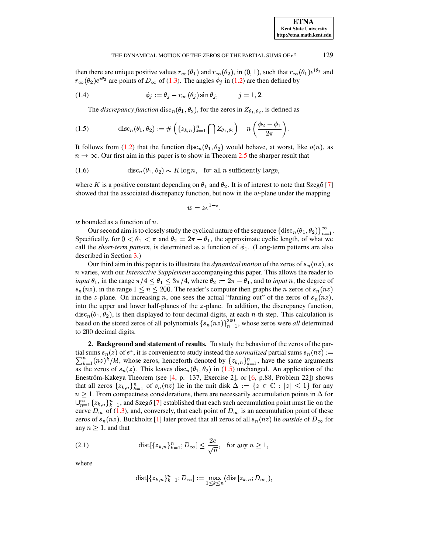then there are unique positive values  $r_{\infty}(\theta_1)$  and  $r_{\infty}(\theta_2)$ , in  $(0, 1)$ , such that  $r_{\infty}(\theta_1)e^{i\theta_1}$  and  $r_{\infty}(\theta_2)e^{i\theta_2}$  are points of  $D_{\infty}$  of (1.3). The angles  $\phi_j$  in (1.2) are then defined by

(1.4) 
$$
\phi_j := \theta_j - r_\infty(\theta_j) \sin \theta_j, \qquad j = 1, 2.
$$

<span id="page-1-2"></span>The *discrepancy function* disc<sub>n</sub>( $\theta_1$ ,  $\theta_2$ ), for the zeros in  $Z_{\theta_1, \theta_2}$ , is defined as

<span id="page-1-0"></span>(1.5) 
$$
\operatorname{disc}_n(\theta_1, \theta_2) := \# \left( \{ z_{k,n} \}_{k=1}^n \bigcap Z_{\theta_1, \theta_2} \right) - n \left( \frac{\phi_2 - \phi_1}{2\pi} \right)
$$

It follows from (1.2) that the function disc<sub>n</sub>( $\theta_1, \theta_2$ ) would behave, at worst, like  $o(n)$ , as  $n \to \infty$ . Our first aim in this paper is to show in Theorem 2.5 the sharper result that

(1.6) 
$$
\operatorname{disc}_n(\theta_1, \theta_2) \sim K \log n, \text{ for all } n \text{ sufficiently large}
$$

where K is a positive constant depending on  $\theta_1$  and  $\theta_2$ . It is of interest to note that Szegő [7] showed that the associated discrepancy function, but now in the  $w$ -plane under the mapping

$$
w=ze^{1-z},
$$

is bounded as a function of  $n$ .

Our second aim is to closely study the cyclical nature of the sequence  $\{\text{disc}_n(\theta_1, \theta_2)\}_{n=1}^{\infty}$ . Specifically, for  $0 < \theta_1 < \pi$  and  $\theta_2 = 2\pi - \theta_1$ , the approximate cyclic length, of what we call the *short-term pattern*, is determined as a function of  $\phi_1$ . (Long-term patterns are also described in Section 3.)

Our third aim in this paper is to illustrate the *dynamical motion* of the zeros of  $s_n(nz)$ , as  $n$  varies, with our *Interactive Supplement* accompanying this paper. This allows the reader to *input*  $\theta_1$ , in the range  $\pi/4 \le \theta_1 \le 3\pi/4$ , where  $\theta_2 := 2\pi - \theta_1$ , and to *input n*, the degree of  $s_n(nz)$ , in the range  $1 \leq n \leq 200$ . The reader's computer then graphs the *n* zeros of  $s_n(nz)$ in the z-plane. On increasing n, one sees the actual "fanning out" of the zeros of  $s_n(nz)$ , into the upper and lower half-planes of the  $z$ -plane. In addition, the discrepancy function,  $disc_n(\theta_1, \theta_2)$ , is then displayed to four decimal digits, at each *n*-th step. This calculation is based on the stored zeros of all polynomials  $\{s_n(nz)\}_{n=1}^{200}$ , whose zeros were all determined to 200 decimal digits.

2. Background and statement of results. To study the behavior of the zeros of the partial sums  $s_n(z)$  of  $e^z$ , it is convenient to study instead the *normalized* partial sums  $s_n(nz) :=$  $\sum_{k=1}^{n} (nz)^k / k!$ , whose zeros, henceforth denoted by  $\{z_{k,n}\}_{k=1}^{n}$ , have the same arguments as the zeros of  $s_n(z)$ . This leaves  $disc_n(\theta_1, \theta_2)$  in (1.5) unchanged. An application of the Eneström-Kakeya Theorem (see [4, p. 137, Exercise 2], or [6, p.88, Problem 22]) shows that all zeros  $\{z_{k,n}\}_{k=1}^n$  of  $s_n(nz)$  lie in the unit disk  $\Delta := \{z \in \mathbb{C} : |z| \leq 1\}$  for any  $n \geq 1$ . From compactness considerations, there are necessarily accumulation points in  $\Delta$  for  $\bigcup_{n=1}^{\infty} \{z_{k,n}\}_{k=1}^n$ , and Szegő [7] established that each such accumulation point must lie on the curve  $D_{\infty}$  of (1.3), and, conversely, that each point of  $D_{\infty}$  is an accumulation point of these zeros of  $s_n(nz)$ . Buckholtz [1] later proved that all zeros of all  $s_n(nz)$  lie *outside* of  $D_\infty$  for any  $n > 1$ , and that

<span id="page-1-1"></span>(2.1) 
$$
\text{dist}[\{z_{k,n}\}_{k=1}^n; D_{\infty}] \le \frac{2e}{\sqrt{n}}, \text{ for any } n \ge 1,
$$

where

$$
\mathrm{dist}[\{z_{k,n}\}_{k=1}^n;D_\infty]:=\max_{1\leq k\leq n}(\mathrm{dist}[z_{k,n};D_\infty])
$$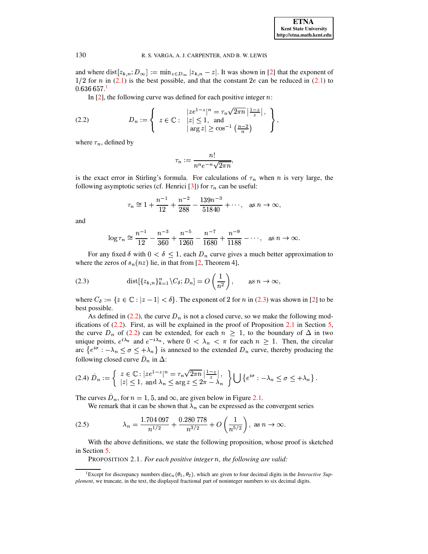and where  $dist[z_{k,n}; D_{\infty}]$  $\{x_n : D_\infty\} := \min_{x \in D_\infty} |z_{k,n} - z|.$  $x_{k,n} - z$ . It was shown in [\[2\]](#page-15-4) that the exponent of  $\frac{1}{2}$  for *n* in [\(2.1\)](#page-1-1) is the best possible, and that the constant 2e can be reduced in (2.1) to  $36\,657.^1$  $36\,657.^1$ 

In  $[2]$ , the following curve was defined for each positive integer n:

<span id="page-2-2"></span>(2.2) 
$$
D_n := \left\{ z \in \mathbb{C} : \begin{array}{l} |ze^{1-z}|^n = \tau_n \sqrt{2\pi n} \left| \frac{1-z}{z} \right|, \\ |z| \leq 1, \text{ and } \\ |\arg z| \geq \cos^{-1} \left( \frac{n-2}{n} \right) \end{array} \right\},
$$

where  $\tau_n$ , defined by

$$
\tau_n:=\frac{n!}{n^ne^{-n}\sqrt{2\pi n}},
$$

is the exact error in Stirling's formula. For calculations of  $\tau_n$  when *n* is very large, the following asymptotic series (cf. Henrici [\[3\]](#page-15-5)) for  $\tau_n$  can be useful:

$$
\tau_n \approx 1 + \frac{n^{-1}}{12} + \frac{n^{-2}}{288} - \frac{139n^{-3}}{51840} + \cdots
$$
, as  $n \to \infty$ ,

and

$$
\log \tau_n \cong \frac{n^{-1}}{12} - \frac{n^{-3}}{360} + \frac{n^{-5}}{1260} - \frac{n^{-7}}{1680} + \frac{n^{-9}}{1188} - \cdots, \quad \text{as } n \to \infty.
$$

For any fixed  $\delta$  with  $0 < \delta \leq 1$ , each  $D_n$  curve gives a much better approximation to where the zeros of  $s_n(nz)$  lie, in that from [\[2,](#page-15-4) Theorem 4],

<span id="page-2-1"></span>(2.3) 
$$
\text{dist}[\{z_{k,n}\}_{k=1}^n \setminus C_\delta; D_n] = O\left(\frac{1}{n^2}\right), \quad \text{as } n \to \infty,
$$

where  $C_{\delta} := \{ z \in \mathbb{C} : |z - 1| < \delta \}.$  The exponent of 2 for *n* in [\(2.3\)](#page-2-1) was shown in [\[2\]](#page-15-4) to be best possible.

As defined in [\(2.2\)](#page-2-2), the curve  $D_n$  is not a closed curve, so we make the following modifications of  $(2.2)$ . First, as will be explained in the proof of Proposition [2.1](#page-2-3) in Section [5,](#page-9-0) the curve  $D_n$  of [\(2.2\)](#page-2-2) can be extended, for each  $n \geq 1$ , to the boundary of  $\Delta$  in two unique points,  $e^{i\lambda_n}$  and  $e^{-i\lambda_n}$ , where  $0 < \lambda_n < \pi$  for each  $n \geq 1$ . Then, the circular arc  $\{e^{i\sigma}$  :  $-\lambda_n \leq \sigma \leq +\lambda_n\}$  is annexed to the extended  $D_n$  curve, thereby producing the following closed curve  $D_n$  in  $\Delta$ :

<span id="page-2-5"></span>
$$
(2.4) \tilde{D}_n := \left\{ \begin{array}{l} z \in \mathbb{C} : |z e^{1-z}|^n = \tau_n \sqrt{2\pi n} \left| \frac{1-z}{z} \right|, \\ |z| \leq 1, \text{ and } \lambda_n \leq \arg z \leq 2\pi - \lambda_n \end{array} \right\} \bigcup \left\{ e^{i\sigma} : -\lambda_n \leq \sigma \leq +\lambda_n \right\}.
$$

The curves  $D_n$ , for  $n=1, 5$ , and  $\infty$ , are given below in Figure [2.1.](#page-3-0)

We remark that it can be shown that  $\lambda_n$  can be expressed as the convergent series

<span id="page-2-4"></span>(2.5) 
$$
\lambda_n = \frac{1.704\,097}{n^{1/2}} + \frac{0.280\,778}{n^{3/2}} + O\left(\frac{1}{n^{5/2}}\right), \text{ as } n \to \infty.
$$

<span id="page-2-3"></span>With the above definitions, we state the following proposition, whose proof is sketched in Section [5.](#page-9-0)

PROPOSITION 2.1. *For each positive integer , the following are valid:*

<span id="page-2-0"></span><sup>&</sup>lt;sup>1</sup>Except for discrepancy numbers disc<sub>n</sub>( $\theta_1$ ,  $\theta_2$ ), which are given to four decimal digits in the *Interactive Supplement*, we truncate, in the text, the displayed fractional part of noninteger numbers to six decimal digits.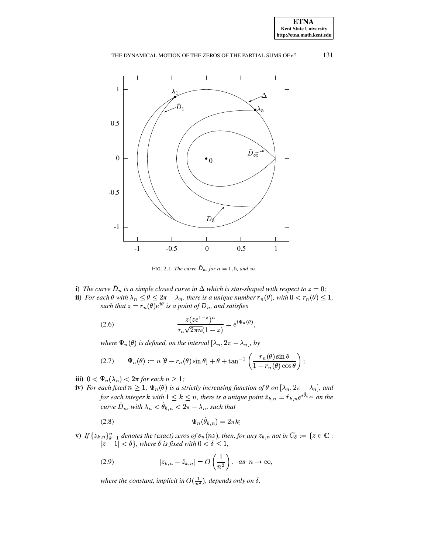

<span id="page-3-0"></span>FIG. 2.1. The curve  $\tilde{D}_n$ , for  $n = 1, 5$ , and  $\infty$ .

i) The curve  $\tilde{D}_n$  is a simple closed curve in  $\Delta$  which is star-shaped with respect to  $z=0$ ; **ii**) For each  $\theta$  with  $\lambda_n \leq \theta \leq 2\pi - \lambda_n$ , there is a unique number  $r_n(\theta)$ , with  $0 < r_n(\theta) \leq 1$ , such that  $z = r_n(\theta)e^{i\theta}$  is a point of  $\tilde{D}_n$ , and satisfies

<span id="page-3-1"></span>(2.6) 
$$
\frac{z(ze^{1-z})^n}{\tau_n\sqrt{2\pi n}(1-z)} = e^{i\Psi_n(\theta)},
$$

where  $\Psi_n(\theta)$  is defined, on the interval  $[\lambda_n, 2\pi - \lambda_n]$ , by

(2.7) 
$$
\Psi_n(\theta) := n [\theta - r_n(\theta) \sin \theta] + \theta + \tan^{-1} \left( \frac{r_n(\theta) \sin \theta}{1 - r_n(\theta) \cos \theta} \right);
$$

- <span id="page-3-2"></span>iii)  $0 < \Psi_n(\lambda_n) < 2\pi$  for each  $n \geq 1$ ;
- iv) For each fixed  $n \geq 1$ ,  $\Psi_n(\theta)$  is a strictly increasing function of  $\theta$  on  $[\lambda_n, 2\pi \lambda_n]$ , and for each integer k with  $1 \leq k \leq n$ , there is a unique point  $\hat{z}_{k,n} = \hat{r}_{k,n} e^{i\hat{\theta}_{k,n}}$  on the curve  $\tilde{D}_n$ , with  $\lambda_n < \hat{\theta}_{k,n} < 2\pi - \lambda_n$ , such that

<span id="page-3-4"></span>
$$
\Psi_n(\hat{\theta}_{k,n}) = 2\pi k;
$$

v) If  $\{z_{k,n}\}_{k=1}^n$  denotes the (exact) zeros of  $s_n(nz)$ , then, for any  $z_{k,n}$  not in  $C_\delta := \{z \in \mathbb{C} : |z-1| < \delta\}$ , where  $\delta$  is fixed with  $0 < \delta \leq 1$ ,

<span id="page-3-3"></span>(2.9) 
$$
|z_{k,n} - \hat{z}_{k,n}| = O\left(\frac{1}{n^2}\right), \text{ as } n \to \infty,
$$

where the constant, implicit in  $O(\frac{1}{n^2})$ , depends only on  $\delta$ .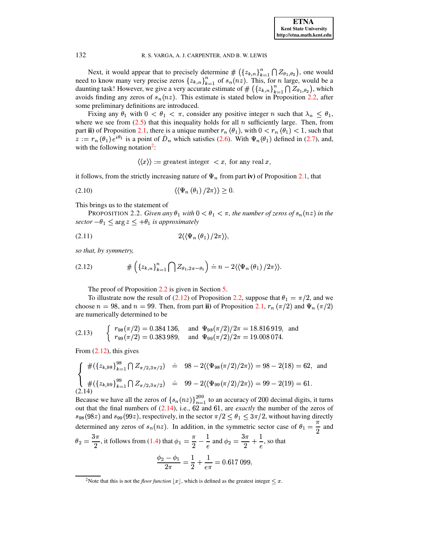Next, it would appear that to precisely determine  $\# (\{z_{k,n}\}_{k=1}^n \bigcap Z_{\theta_1,\theta_2})$ , one would need to know many very precise zeros  $\{z_{k,n}\}_{k=1}^n$  of  $s_n(nz)$ . This, for *n* large, would be a daunting task! However, we give a very accurate estimate of  $\# (\{z_{k,n}\}_{k=1}^n \bigcap Z_{\theta_1,\theta_2})$ , which avoids finding any zeros of  $s_n(nz)$ . This estimate is stated below in Proposition 2.2, after some preliminary definitions are introduced.

Fixing any  $\theta_1$  with  $0 < \theta_1 < \pi$ , consider any positive integer n such that  $\lambda_n \leq \theta_1$ , where we see from  $(2.5)$  that this inequality holds for all *n* sufficiently large. Then, from part ii) of Proposition 2.1, there is a unique number  $r_n(\theta_1)$ , with  $0 < r_n(\theta_1) < 1$ , such that  $z := r_n(\theta_1) e^{i\theta_1}$  is a point of  $\tilde{D}_n$  which satisfies (2.6). With  $\Psi_n(\theta_1)$  defined in (2.7), and, with the following notation<sup>2</sup>:

<span id="page-4-5"></span>
$$
\langle \langle x \rangle \rangle := \text{greatest integer} < x, \text{ for any real } x,
$$

it follows, from the strictly increasing nature of  $\Psi_n$  from part iv) of Proposition 2.1, that

$$
\langle \langle \Psi_n(\theta_1) / 2\pi \rangle \rangle > 0
$$

<span id="page-4-0"></span>This brings us to the statement of

**PROPOSITION 2.2.** Given any  $\theta_1$  with  $0 < \theta_1 < \pi$ , the number of zeros of  $s_n(nz)$  in the sector  $-\theta_1 \leq \arg z \leq +\theta_1$  is approximately

<span id="page-4-4"></span>
$$
(2.11) \t2\langle\langle\Psi_n(\theta_1)/2\pi\rangle\rangle,
$$

so that, by symmetry,

<span id="page-4-2"></span>
$$
(2.12) \t\t\t\t\# \left( \left\{ z_{k,n} \right\}_{k=1}^n \bigcap Z_{\theta_1, 2\pi - \theta_1} \right) \doteq n - 2 \langle \left\langle \Psi_n \left( \theta_1 \right) / 2\pi \right\rangle \rangle.
$$

The proof of Proposition  $2.2$  is given in Section 5.

To illustrate now the result of (2.12) of Proposition 2.2, suppose that  $\theta_1 = \pi/2$ , and we choose  $n = 98$ , and  $n = 99$ . Then, from part ii) of Proposition 2.1,  $r_n(\pi/2)$  and  $\Psi_n(\pi/2)$ are numerically determined to be

(2.13) 
$$
\begin{cases} r_{98}(\pi/2) = 0.384\ 136, & \text{and } \Psi_{98}(\pi/2)/2\pi = 18.816\ 919, \text{ and} \\ r_{99}(\pi/2) = 0.383\ 989, & \text{and } \Psi_{99}(\pi/2)/2\pi = 19.008\ 074. \end{cases}
$$

From  $(2.12)$ , this gives

<span id="page-4-3"></span>
$$
\begin{cases}\n\#(\{z_{k,98}\}_{k=1}^{98} \cap Z_{\pi/2,3\pi/2}) & \doteq 98 - 2\langle\langle\Psi_{98}(\pi/2)/2\pi\rangle\rangle = 98 - 2(18) = 62, \text{ and} \\
\#(\{z_{k,99}\}_{k=1}^{99} \cap Z_{\pi/2,3\pi/2}) & \doteq 99 - 2\langle\langle\Psi_{99}(\pi/2)/2\pi\rangle\rangle = 99 - 2(19) = 61.\n\end{cases}
$$
\n(2.14)

Because we have all the zeros of  ${s_n(nz)}_{n=1}^{200}$  to an accuracy of 200 decimal digits, it turns out that the final numbers of  $(2.14)$ , i.e., 62 and 61, are *exactly* the number of the zeros of  $s_{98}(98z)$  and  $s_{99}(99z)$ , respectively, in the sector  $\pi/2 \leq \theta_1 \leq 3\pi/2$ , without having directly determined any zeros of  $s_n(nz)$ . In addition, in the symmetric sector case of  $\theta_1 = \frac{\pi}{2}$  and

$$
\theta_2 = \frac{3\pi}{2}
$$
, it follows from (1.4) that  $\phi_1 = \frac{\pi}{2} - \frac{1}{e}$  and  $\phi_2 = \frac{3\pi}{2} + \frac{1}{e}$ , so that  

$$
\frac{\phi_2 - \phi_1}{2\pi} = \frac{1}{2} + \frac{1}{e\pi} = 0.617 099,
$$

132

<span id="page-4-1"></span><sup>&</sup>lt;sup>2</sup>Note that this is not the *floor function*  $|x|$ , which is defined as the greatest integer  $\leq x$ .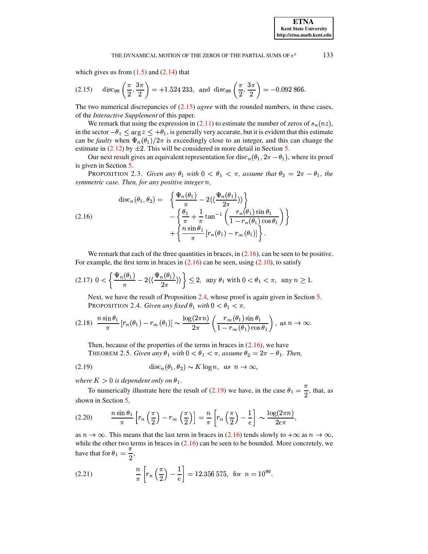which gives us from  $(1.5)$  and  $(2.14)$  that

<span id="page-5-1"></span>(2.15) 
$$
\text{disc}_{98}\left(\frac{\pi}{2}, \frac{3\pi}{2}\right) = +1.524\,233, \text{ and } \text{disc}_{99}\left(\frac{\pi}{2}, \frac{3\pi}{2}\right) = -0.092\,866
$$

The two numerical discrepancies of  $(2.15)$  agree with the rounded numbers, in these cases, of the Interactive Supplement of this paper.

We remark that using the expression in (2.11) to estimate the number of zeros of  $s_n(nz)$ , in the sector  $-\theta_1 \le \arg z \le +\theta_1$ , is generally very accurate, but it is evident that this estimate can be *faulty* when  $\Psi_n(\theta_1)/2\pi$  is exceedingly close to an integer, and this can change the estimate in  $(2.12)$  by  $\pm 2$ . This will be considered in more detail in Section 5.

<span id="page-5-5"></span>Our next result gives an equivalent representation for  $disc_n(\theta_1, 2\pi - \theta_1)$ , where its proof is given in Section 5.

**PROPOSITION** 2.3. Given any  $\theta_1$  with  $0 < \theta_1 < \pi$ , assume that  $\theta_2 = 2\pi - \theta_1$ , the symmetric case. Then, for any positive integer n,

<span id="page-5-2"></span>(2.16) 
$$
\operatorname{disc}_n(\theta_1, \theta_2) = \left\{ \frac{\Psi_n(\theta_1)}{\pi} - 2 \langle \langle \frac{\Psi_n(\theta_1)}{2\pi} \rangle \rangle \right\} \n- \left\{ \frac{\theta_1}{\pi} + \frac{1}{\pi} \tan^{-1} \left( \frac{r_n(\theta_1) \sin \theta_1}{1 - r_n(\theta_1) \cos \theta_1} \right) \right\} \n+ \left\{ \frac{n \sin \theta_1}{\pi} [r_n(\theta_1) - r_\infty(\theta_1)] \right\}.
$$

We remark that each of the three quantities in braces, in  $(2.16)$ , can be seen to be positive. For example, the first term in braces in  $(2.16)$  can be seen, using  $(2.10)$ , to satisfy

<span id="page-5-6"></span>
$$
(2.17) \ 0 < \left\{ \frac{\Psi_n(\theta_1)}{\pi} - 2 \langle \langle \frac{\Psi_n(\theta_1)}{2\pi} \rangle \rangle \right\} \le 2, \ \ \text{any} \ \theta_1 \ \text{with} \ 0 < \theta_1 < \pi, \ \ \text{any} \ n \ge 1
$$

Next, we have the result of Proposition 2.4, whose proof is again given in Section 5. PROPOSITION 2.4. Given any fixed  $\theta_1$  with  $0 < \theta_1 < \pi$ ,

<span id="page-5-7"></span><span id="page-5-3"></span>
$$
(2.18)\ \frac{n\sin\theta_1}{\pi}\left[r_n(\theta_1)-r_\infty(\theta_1)\right]\sim\frac{\log(2\pi n)}{2\pi}\left(\frac{r_\infty(\theta_1)\sin\theta_1}{1-r_\infty(\theta_1)\cos\theta_1}\right),\ \text{as}\ n\to\infty.
$$

Then, because of the properties of the terms in braces in  $(2.16)$ , we have THEOREM 2.5. Given any  $\theta_1$  with  $0 < \theta_1 < \pi$ , assume  $\theta_2 = 2\pi - \theta_1$ . Then,

<span id="page-5-4"></span><span id="page-5-0"></span>
$$
\operatorname{disc}_n(\theta_1, \theta_2) \sim K \log n, \text{ as } n \to \infty,
$$

where  $K > 0$  is dependent only on  $\theta_1$ .

To numerically illustrate here the result of (2.19) we have, in the case  $\theta_1 = \frac{\pi}{2}$ , that, as shown in Section 5,

$$
(2.20) \qquad \frac{n \sin \theta_1}{\pi} \left[ r_n \left( \frac{\pi}{2} \right) - r_\infty \left( \frac{\pi}{2} \right) \right] = \frac{n}{\pi} \left[ r_n \left( \frac{\pi}{2} \right) - \frac{1}{e} \right] \sim \frac{\log(2\pi n)}{2e\pi}
$$

as  $n \to \infty$ . This means that the last term in braces in (2.16) tends slowly to  $+\infty$  as  $n \to \infty$ , while the other two terms in braces in  $(2.16)$  can be seen to be bounded. More concretely, we have that for  $\theta_1 = \frac{\pi}{2}$ ,

<span id="page-5-8"></span>(2.21) 
$$
\frac{n}{\pi} \left[ r_n \left( \frac{\pi}{2} \right) - \frac{1}{e} \right] = 12.356 575, \text{ for } n = 10^{90}.
$$

133

**ETNA Kent State University** http://etna.math.kent.edu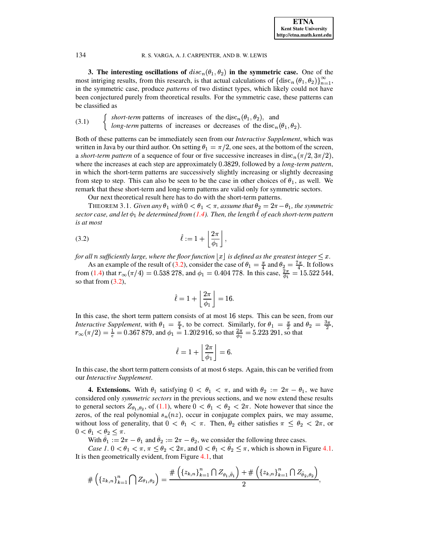<span id="page-6-0"></span>**3.** The interesting oscillations of  $disc_n({\theta_1, \theta_2})$  in the symmetric case. One of the **3. The interesting oscillations of**  $disc_n(\theta_1, \theta_2)$  in the symmetric case. One of the most intriging results, from this research, is that actual calculations of  $\{disc_n(\theta_1, \theta_2)\}_{n=1}^{\infty}$ , in the symmetric case, produce *patterns* of two distinct types, which likely could not have been conjectured purely from theoretical results. For the symmetric case, these patterns can be classified as

 $\int$  *short-term* patterns of increases of the disc<sub>n</sub>( $\theta_1$ , $\theta_2$ ), and (3.1)  $\left\{\n \begin{array}{l}\n \text{short term patterns of increases of the disc}_n(\sigma_1, \sigma_2), \text{ and} \\
 \text{long-term patterns of increases or decreases of the disc}_n(\theta_1, \theta_2).\n \end{array}\n\right.$ 

Both of these patterns can be immediately seen from our *Interactive Supplement*, which was <sup>ª</sup> written in Java by our third author. On setting  $\theta_1 = \pi/2$ , one sees, at the bottom of the screen, a *short-term* pattern of a sequence of four or five successive increases in disc<sub>n</sub>( $\pi/2, 3\pi/2$ ), where the increases at each step are approximately 0.3829, followed by a *long-term pattern*, in which the short-term patterns are successively slightly increasing or slightly decreasing from step to step. This can also be seen to be the case in other choices of  $\theta_1$ , as well. We remark that these short-term and long-term patterns are valid only for symmetric sectors.

Our next theoretical result here has to do with the short-term patterns.

<span id="page-6-2"></span>THEOREM 3.1. *Given any*  $\theta_1$  *with*  $0 < \theta_1 < \pi$ *, assume that*  $\theta_2 = 2\pi - \theta_1$ *, the symmetric*  $sector$  *case, and let*  $\phi_1$  *be determined from [\(1.4\)](#page-1-2). Then, the length*  $\ell$  *of each short-term pattern is at most*

<span id="page-6-1"></span>
$$
\hat{\ell} := 1 + \left\lfloor \frac{2\pi}{\phi_1} \right\rfloor,
$$

*for all n sufficiently large, where the floor function*  $\lfloor x \rfloor$  *is defined as the greatest integer*  $\leq x$ *.* 

As an example of the result of [\(3.2\)](#page-6-1), consider the case of  $\theta_1 = \frac{\pi}{4}$  and  $=\frac{\pi}{4}$  and  $\theta_2 = \frac{7\pi}{4}$ . It follows from [\(1.4\)](#page-1-2) that  $r_{\infty}(\pi/4) = 0.538$  278, and  $\phi_1 = 0.404$  778. In this case,  $\frac{2\pi}{\phi_1} = 15.522$  544, so that from  $(3.2)$ ,

$$
\hat{\ell}=1+\left\lfloor\frac{2\pi}{\phi_1}\right\rfloor=16.
$$

In this case, the short term pattern consists of at most 16 steps. This can be seen, from our *Interactive Supplement*, with  $\theta_1 = \frac{\pi}{4}$ , to  $=\frac{\pi}{4}$ , to be correct. Similarly, for  $\theta_1 = \frac{\pi}{2}$  and *upplement*, with  $\theta_1 = \frac{\pi}{4}$ , to be correct. Similarly, for  $\theta_1 = \frac{\pi}{2}$  and  $\theta_2 = \frac{3\pi}{2}$ ,  $r_{\infty}(\pi/2) = \frac{1}{6} = 0.367879$ , and  $\phi_1 = 1.2$  $= 1.202916$ , so that  $\frac{2\pi}{\phi} = 5.223291$ , so that

$$
\hat{\ell}=1+\left\lfloor\frac{2\pi}{\phi_1}\right\rfloor=6.
$$

In this case, the short term pattern consists of at most 6 steps. Again, this can be verified from our *Interactive Supplement*.

**4. Extensions.** With  $\theta_1$  satisfying  $0 < \theta_1 < \pi$ , and with  $\theta_2 := 2\pi - \theta_1$ , we have considered only *symmetric sectors* in the previous sections, and we now extend these results to general sectors  $Z_{\theta_1,\theta_2}$ , of [\(1.1\)](#page-0-2), where  $0 < \theta_1 < \theta_2 < 2\pi$ . Note however that since the zeros, of the real polynomial  $s_n(nz)$ , occur in conjugate complex pairs, we may assume, without loss of generality, that  $0 < \theta_1 < \pi$ . Then,  $\theta_2$  either satisfies  $\pi \leq \theta_2 < 2\pi$ , or  $0 < \theta_1 < \theta_2 \leq \pi$ .

With  $\theta_1 := 2\pi - \theta_1$  and  $\theta_2 := 2\pi - \theta_2$ , we consider the following three cases.

*Case* 1.  $0 < \theta_1 < \pi, \pi \leq \theta_2 < 2\pi$ , and  $0 < \theta_1 < \theta_2 \leq \pi$ , which is shown in Figure [4.1.](#page-7-0) It is then geometrically evident, from Figure [4.1,](#page-7-0) that

$$
\#\left(\{z_{k,n}\}_{k=1}^n\bigcap Z_{\theta_1,\theta_2}\right)=\frac{\#\left(\{z_{k,n}\}_{k=1}^n\bigcap Z_{\theta_1,\tilde{\theta}_1}\right)+\#\left(\{z_{k,n}\}_{k=1}^n\bigcap Z_{\tilde{\theta}_2,\theta_2}\right)}{2},
$$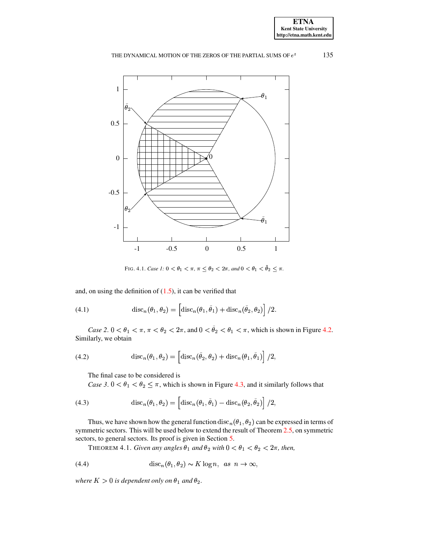

<span id="page-7-0"></span>FIG. 4.1. Case 1:  $0 < \theta_1 < \pi$ ,  $\pi \leq \theta_2 < 2\pi$ , and  $0 < \theta_1 < \tilde{\theta}_2 \leq \pi$ .

and, on using the definition of  $(1.5)$ , it can be verified that

<span id="page-7-2"></span>(4.1) 
$$
\operatorname{disc}_n(\theta_1, \theta_2) = \left[ \operatorname{disc}_n(\theta_1, \tilde{\theta}_1) + \operatorname{disc}_n(\tilde{\theta}_2, \theta_2) \right] / 2.
$$

Case 2.  $0 < \theta_1 < \pi$ ,  $\pi < \theta_2 < 2\pi$ , and  $0 < \tilde{\theta}_2 < \theta_1 < \pi$ , which is shown in Figure 4.2. Similarly, we obtain

(4.2) 
$$
\operatorname{disc}_n(\theta_1, \theta_2) = \left[ \operatorname{disc}_n(\tilde{\theta}_2, \theta_2) + \operatorname{disc}_n(\theta_1, \tilde{\theta}_1) \right] / 2,
$$

The final case to be considered is

Case 3.  $0 < \theta_1 < \theta_2 \leq \pi$ , which is shown in Figure 4.3, and it similarly follows that

<span id="page-7-3"></span>(4.3) 
$$
\operatorname{disc}_n(\theta_1, \theta_2) = \left[ \operatorname{disc}_n(\theta_1, \tilde{\theta}_1) - \operatorname{disc}_n(\theta_2, \tilde{\theta}_2) \right] / 2,
$$

<span id="page-7-1"></span>Thus, we have shown how the general function disc<sub>n</sub>( $\theta_1$ ,  $\theta_2$ ) can be expressed in terms of symmetric sectors. This will be used below to extend the result of Theorem  $2.5$ , on symmetric sectors, to general sectors. Its proof is given in Section 5.

THEOREM 4.1. Given any angles  $\theta_1$  and  $\theta_2$  with  $0 < \theta_1 < \theta_2 < 2\pi$ , then,

(4.4) 
$$
\operatorname{disc}_n(\theta_1, \theta_2) \sim K \log n, \text{ as } n \to \infty,
$$

where  $K > 0$  is dependent only on  $\theta_1$  and  $\theta_2$ .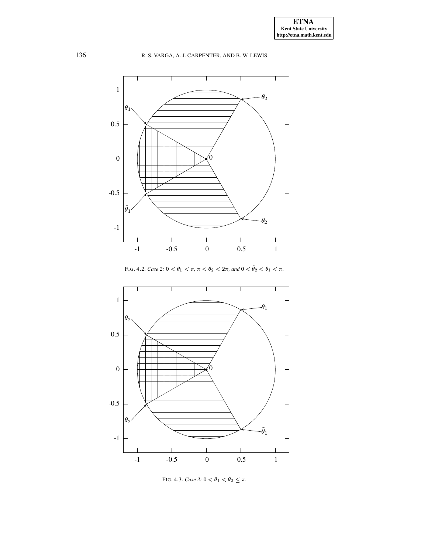

FIG. 4.2. Case 2:  $0 < \theta_1 < \pi$ ,  $\pi < \theta_2 < 2\pi$ , and  $0 < \tilde{\theta}_2 < \theta_1 < \pi$ .

<span id="page-8-0"></span>

<span id="page-8-1"></span>FIG. 4.3. Case 3:  $0 < \theta_1 < \theta_2 \leq \pi$ .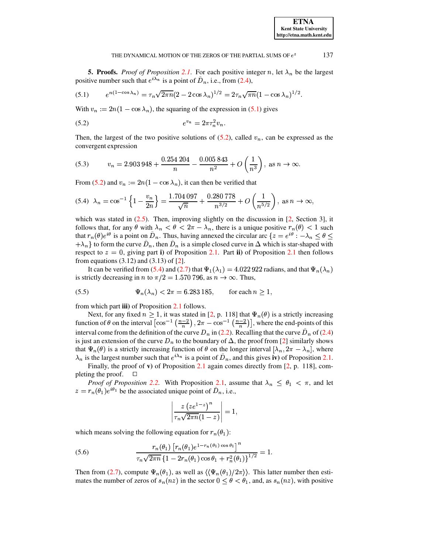<span id="page-9-0"></span>**5. Proofs.** *Proof of Proposition 2.1*. For each positive integer n, let  $\lambda_n$  be the largest positive number such that  $e^{i\lambda_n}$  is a point of  $\tilde{D}_n$ , i.e., from (2.4),

<span id="page-9-1"></span>(5.1) 
$$
e^{n(1-\cos\lambda_n)} = \tau_n \sqrt{2\pi n} (2-2\cos\lambda_n)^{1/2} = 2\tau_n \sqrt{\pi n} (1-\cos\lambda_n)^{1/2}.
$$

With  $v_n := 2n(1 - \cos \lambda_n)$ , the squaring of the expression in (5.1) gives

<span id="page-9-2"></span>(5.2) 
$$
e^{v_n} = 2\pi \tau_n^2 v_n
$$

Then, the largest of the two positive solutions of  $(5.2)$ , called  $v_n$ , can be expressed as the convergent expression

(5.3) 
$$
v_n = 2.903\ 948 + \frac{0.254\ 204}{n} - \frac{0.005\ 843}{n^2} + O\left(\frac{1}{n^3}\right), \text{ as } n \to \infty.
$$

From (5.2) and  $v_n := 2n(1 - \cos \lambda_n)$ , it can then be verified that

<span id="page-9-3"></span>
$$
(5.4) \ \ \lambda_n = \cos^{-1}\left\{1 - \frac{v_n}{2n}\right\} = \frac{1.704097}{\sqrt{n}} + \frac{0.280778}{n^{3/2}} + O\left(\frac{1}{n^{5/2}}\right), \text{ as } n \to \infty,
$$

which was stated in  $(2.5)$ . Then, improving slightly on the discussion in [2, Section 3], it follows that, for any  $\theta$  with  $\lambda_n < \theta < 2\pi - \lambda_n$ , there is a unique positive  $r_n(\theta) < 1$  such that  $r_n(\theta)e^{i\theta}$  is a point on  $\tilde{D}_n$ . Thus, having annexed the circular arc  $\{z=e^{i\theta}: -\lambda_n \leq \theta \leq \theta\}$  $\{\lambda_n\}$  to form the curve  $\tilde{D}_n$ , then  $\tilde{D}_n$  is a simple closed curve in  $\Delta$  which is star-shaped with respect to  $z = 0$ , giving part i) of Proposition 2.1. Part ii) of Proposition 2.1 then follows from equations  $(3.12)$  and  $(3.13)$  of  $[2]$ .

It can be verified from (5.4) and (2.7) that  $\Psi_1(\lambda_1) = 4.022922$  radians, and that  $\Psi_n(\lambda_n)$ is strictly decreasing in *n* to  $\pi/2 = 1.570796$ , as  $n \to \infty$ . Thus,

(5.5) 
$$
\Psi_n(\lambda_n) < 2\pi = 6.283\,185, \qquad \text{for each } n \ge 1,
$$

from which part **iii**) of Proposition 2.1 follows.

Next, for any fixed  $n \ge 1$ , it was stated in [2, p. 118] that  $\Psi_n(\theta)$  is a strictly increasing function of  $\theta$  on the interval  $\left[\cos^{-1}\left(\frac{n-2}{n}\right), 2\pi - \cos^{-1}\left(\frac{n-2}{n}\right)\right]$ , where the end-points of this interval come from the definition of the curve  $D_n$  in (2.2). Recalling that the curve  $D_n$  of (2.4) is just an extension of the curve  $D_n$  to the boundary of  $\Delta$ , the proof from [2] similarly shows that  $\Psi_n(\theta)$  is a strictly increasing function of  $\theta$  on the longer interval  $[\lambda_n, 2\pi - \lambda_n]$ , where  $\lambda_n$  is the largest number such that  $e^{i\lambda_n}$  is a point of  $\tilde{D}_n$ , and this gives iv) of Proposition 2.1.

Finally, the proof of  $\bf{v}$ ) of Proposition 2.1 again comes directly from [2, p. 118], completing the proof.  $\Box$ 

*Proof of Proposition 2.2.* With Proposition 2.1, assume that  $\lambda_n \leq \theta_1 < \pi$ , and let  $z = r_n(\theta_1)e^{i\theta_1}$  be the associated unique point of  $D_n$ , i.e.,

$$
\left|\frac{z\left(ze^{1-z}\right)^n}{\tau_n\sqrt{2\pi n}(1-z)}\right|=1,
$$

which means solving the following equation for  $r_n(\theta_1)$ :

<span id="page-9-4"></span>(5.6) 
$$
\frac{r_n(\theta_1) [r_n(\theta_1)e^{1-r_n(\theta_1)\cos\theta_1} ]^n}{\tau_n \sqrt{2\pi n} \left\{1 - 2r_n(\theta_1)\cos\theta_1 + r_n^2(\theta_1)\right\}^{1/2}} = 1
$$

Then from (2.7), compute  $\Psi_n(\theta_1)$ , as well as  $\langle \langle \Psi_n(\theta_1)/2\pi \rangle \rangle$ . This latter number then estimates the number of zeros of  $s_n(nz)$  in the sector  $0 \le \theta < \theta_1$ , and, as  $s_n(nz)$ , with positive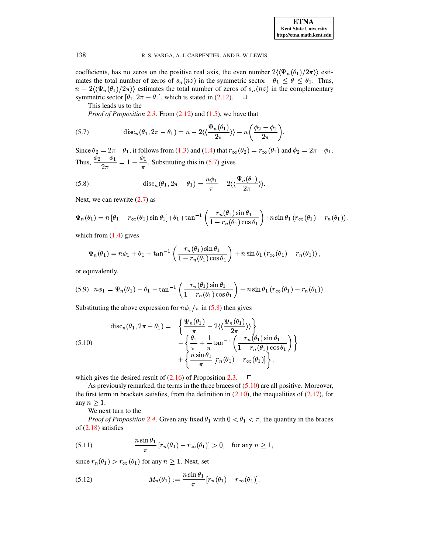coefficients, has no zeros on the positive real axis, the even number  $2\langle {\Psi_n(\theta_1)} / 2\pi \rangle$  estimates the total number of zeros of  $s_n(nz)$  in the symmetric sector  $-\theta_1 \leq \theta \leq \theta_1$ . Thus,  $1$ . Thus,  $n - 2\langle \langle \Psi_n(\theta_1)/2\pi \rangle \rangle$  estimates the total number of zeros of  $s_n(nz)$  in the complementary<br>symmetric sector  $[\theta_1, 2\pi - \theta_1]$ , which is stated in (2.12).  $(2\pi - \theta_1]$ , which is stated in [\(2.12\)](#page-4-2).  $\Box$ 

This leads us to the

*Proof of Proposition [2.3](#page-5-5)*. From [\(2.12\)](#page-4-2) and [\(1.5\)](#page-1-0), we have that

<span id="page-10-0"></span>(5.7) 
$$
\operatorname{disc}_n(\theta_1, 2\pi - \theta_1) = n - 2 \langle \langle \frac{\Psi_n(\theta_1)}{2\pi} \rangle \rangle - n \left( \frac{\phi_2 - \phi_1}{2\pi} \right).
$$

Since  $\theta_2 = 2\pi - \theta_1$ , it follows from [\(1.3\)](#page-0-0) and [\(1.4\)](#page-1-2) that  $r_\infty(\theta_2) = r_\infty(\theta_1)$  and  $\phi_2 = 2\pi - \phi_1$ .  $\tau-\theta_1$ , it follows from (1.3) and (1.4) that  $r_{\infty}(\theta_2)=r_{\infty}(\theta_1)$  and  $\phi_2=2\pi-\phi_1$ . Thus,  $\frac{4\pi}{2\pi}$  =  $1 - \frac{4\pi}{\pi}$ . Substituting this in [\(5.7\)](#page-10-0) gives

<span id="page-10-1"></span>(5.8) 
$$
\mathrm{disc}_n(\theta_1, 2\pi - \theta_1) = \frac{n\phi_1}{\pi} - 2\langle\langle \frac{\Psi_n(\theta_1)}{2\pi} \rangle\rangle.
$$

Next, we can rewrite  $(2.7)$  as

Next, we can rewrite (2.7) as  
\n
$$
\Psi_n(\theta_1) = n [\theta_1 - r_\infty(\theta_1) \sin \theta_1] + \theta_1 + \tan^{-1} \left( \frac{r_n(\theta_1) \sin \theta_1}{1 - r_n(\theta_1) \cos \theta_1} \right) + n \sin \theta_1 (r_\infty(\theta_1) - r_n(\theta_1)),
$$

which from  $(1.4)$  gives

$$
\Psi_n(\theta_1) = n\phi_1 + \theta_1 + \tan^{-1}\left(\frac{r_n(\theta_1)\sin\theta_1}{1 - r_n(\theta_1)\cos\theta_1}\right) + n\sin\theta_1\left(r_\infty(\theta_1) - r_n(\theta_1)\right),
$$

or equivalently,

or equivalently,  
(5.9) 
$$
n\phi_1 = \Psi_n(\theta_1) - \theta_1 - \tan^{-1}\left(\frac{r_n(\theta_1)\sin\theta_1}{1 - r_n(\theta_1)\cos\theta_1}\right) - n\sin\theta_1\left(r_\infty(\theta_1) - r_n(\theta_1)\right).
$$

Substituting the above expression for  $n\phi_1/\pi$  in [\(5.8\)](#page-10-1) then gives

<span id="page-10-2"></span>(5.10) 
$$
\operatorname{disc}_n(\theta_1, 2\pi - \theta_1) = \left\{ \frac{\Psi_n(\theta_1)}{\pi} - 2 \langle \langle \frac{\Psi_n(\theta_1)}{2\pi} \rangle \rangle \right\} - \left\{ \frac{\theta_1}{\pi} + \frac{1}{\pi} \tan^{-1} \left( \frac{r_n(\theta_1) \sin \theta_1}{1 - r_n(\theta_1) \cos \theta_1} \right) \right\} + \left\{ \frac{n \sin \theta_1}{\pi} [r_n(\theta_1) - r_\infty(\theta_1)] \right\},
$$

which gives the desired result of  $(2.16)$  of Proposition [2.3.](#page-5-5)  $\Box$ 

As previously remarked, the terms in the three braces of [\(5.10\)](#page-10-2) are all positive. Moreover, the first term in brackets satisfies, from the definition in  $(2.10)$ , the inequalities of  $(2.17)$ , for any  $n \geq 1$ .

We next turn to the

*Proof of Proposition* [2.4](#page-5-3). Given any fixed  $\theta_1$  with  $0 < \theta_1 < \pi$ , the quantity in the braces of [\(2.18\)](#page-5-7) satisfies  $n \sin \theta_1$ 

(5.11) 
$$
\frac{n \sin \theta_1}{\pi} [r_n(\theta_1) - r_\infty(\theta_1)] > 0, \text{ for any } n \ge 1,
$$

<span id="page-10-3"></span>

since 
$$
r_n(\theta_1) > r_\infty(\theta_1)
$$
 for any  $n \ge 1$ . Next, set  
(5.12) 
$$
M_n(\theta_1) := \frac{n \sin \theta_1}{\pi} [r_n(\theta_1) - r_\infty(\theta_1)].
$$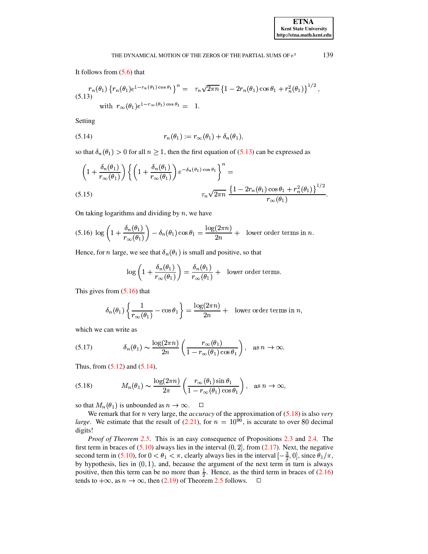It follows from [\(5.6\)](#page-9-4) that

<span id="page-11-0"></span>
$$
(5.13) \begin{aligned} r_n(\theta_1) \left\{ r_n(\theta_1) e^{1 - r_n(\theta_1) \cos \theta_1} \right\}^n &= \tau_n \sqrt{2\pi n} \left\{ 1 - 2r_n(\theta_1) \cos \theta_1 + r_n^2(\theta_1) \right\}^{1/2}, \\ \text{with } r_{\infty}(\theta_1) e^{1 - r_{\infty}(\theta_1) \cos \theta_1} &= 1. \end{aligned}
$$

Setting

<span id="page-11-2"></span>
$$
(5.14) \t\t\t\t r_n(\theta_1) := r_\infty(\theta_1) + \delta_n(\theta_1),
$$

so that  $\delta_n(\theta_1) > 0$  for all  $n \geq 1$ , then the first equation of [\(5.13\)](#page-11-0) can be expressed as

$$
\left(1+\frac{\delta_n(\theta_1)}{r_\infty(\theta_1)}\right)\left\{\left(1+\frac{\delta_n(\theta_1)}{r_\infty(\theta_1)}\right)e^{-\delta_n(\theta_1)\cos\theta_1}\right\}^n = \frac{\left\{1-2r_n(\theta_1)\cos\theta_1+r_n^2(\theta_1)\right\}^{1/2}}{r_\infty(\theta_1)}.
$$
\n(5.15)

On taking logarithms and dividing by  $n$ , we have

<span id="page-11-1"></span>
$$
(5.16)\ \log\left(1+\frac{\delta_n(\theta_1)}{r_\infty(\theta_1)}\right)-\delta_n(\theta_1)\cos\theta_1=\frac{\log(2\pi n)}{2n}+\text{ lower order terms in }n.
$$

Hence, for *n* large, we see that  $\delta_n({\theta_1})$  is small and positive, so that

$$
\log\left(1+\frac{\delta_n(\theta_1)}{r_{\infty}(\theta_1)}\right)=\frac{\delta_n(\theta_1)}{r_{\infty}(\theta_1)}+\text{ lower order terms.}
$$

This gives from  $(5.16)$  that

$$
\delta_n(\theta_1) \left\{ \frac{1}{r_{\infty}(\theta_1)} - \cos \theta_1 \right\} = \frac{\log(2\pi n)}{2n} + \text{ lower order terms in } n,
$$

which we can write as

(5.17) 
$$
\delta_n(\theta_1) \sim \frac{\log(2\pi n)}{2n} \left( \frac{r_{\infty}(\theta_1)}{1 - r_{\infty}(\theta_1) \cos \theta_1} \right), \text{ as } n \to \infty.
$$

Thus, from  $(5.12)$  and  $(5.14)$ ,

<span id="page-11-3"></span>
$$
(5.18) \qquad M_n(\theta_1) \sim \frac{\log(2\pi n)}{2\pi} \left( \frac{r_\infty(\theta_1) \sin \theta_1}{1 - r_\infty(\theta_1) \cos \theta_1} \right), \quad \text{as } n \to \infty,
$$

so that  $M_n(\theta_1)$  is unbounded as  $n \to \infty$ .  $\Box$ 

We remark that for *n* very large, the *accuracy* of the approximation of [\(5.18\)](#page-11-3) is also *very large.* We estimate that the result of  $(2.21)$ , for  $n = 10^{90}$ , is accurate to over 80 decimal digits!

*Proof of Theorem [2.5](#page-5-0)*. This is an easy consequence of Propositions [2.3](#page-5-5) and [2.4.](#page-5-3) The first term in braces of  $(5.10)$  always lies in the interval  $(0, 2]$ , from  $(2.17)$ . Next, the negative first term in braces of [\(5.10\)](#page-10-2) always lies in the interval (0, 2], from (2.17). Next, the negative second term in (5.10), for  $0 < \theta_1 < \pi$ , clearly always lies in the interval  $\left[-\frac{3}{2}, 0\right]$ , since  $\theta_1/\pi$ , by hypothesis, lies in  $(0, 1)$ , and, because the argument of the next term in turn is always positive, then this term can be no more than  $\frac{1}{2}$ . Hence, as the third term in braces of [\(2.16\)](#page-5-2) tends to  $+\infty$ , as  $n \to \infty$ , then [\(2.19\)](#page-5-4) of Theorem [2.5](#page-5-0) follows.  $\square$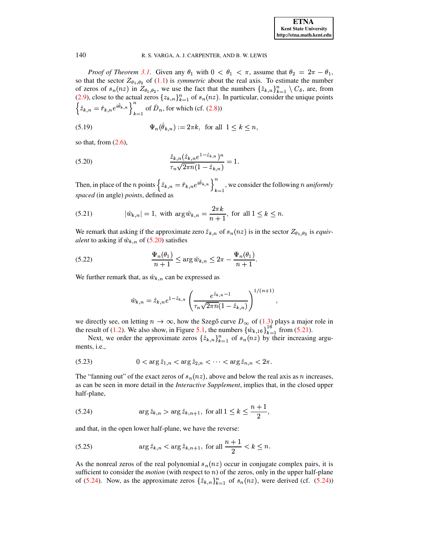*Proof of Theorem [3.1](#page-6-2).* Given any  $\theta_1$  with  $0 < \theta_1 < \pi$ , assume that  $\theta_2 = 2\pi - \theta_1$ , so that the sector  $Z_{\theta_1,\theta_2}$  of [\(1.1\)](#page-0-2) is *symmetric* about the real axis. To estimate the number of zeros of  $s_n(nz)$  in  $Z_{\theta_1,\theta_2}$ , we use the fact that the numbers  $\{\hat{z}_{k,n}\}_{k=1}^n \setminus C_\delta$ , are, from [\(2.9\)](#page-3-3), close to the actual zeros  $\{z_{k,n}\}_{k=1}^n$  of  $s_n(nz)$ . In particular, consider the unique points  $\hat{z}_{k,n} = \hat{r}_{k,n}e^{i\theta_{k,n}}$  $\left\{n \in \mathbb{R}^{i \hat{\theta}_{k,n}}\right\}_{k=1}^{n}$  of  $\tilde{D}_n$ , for which (cf. [\(2.8\)](#page-3-4))

(5.19) 
$$
\Psi_n(\hat{\theta}_{k,n}) := 2\pi k, \text{ for all } 1 \le k \le n,
$$

so that, from  $(2.6)$ ,

<span id="page-12-0"></span>(5.20) 
$$
\frac{\hat{z}_{k,n}(\hat{z}_{k,n}e^{1-\hat{z}_{k,n}})^n}{\tau_n\sqrt{2\pi n}(1-\hat{z}_{k,n})} = 1.
$$

Then, in place of the *n* points  $\{\hat{z}_{k,n} = \hat{r}_{k,n} e^{i\hat{\theta}_{k,n}}\}$  $e^{i v_{k,n}}$  N  $\int_{k=1}^{n}$ , we consider the following *n* uniformly *spaced* (in angle) *points*, defined as

<span id="page-12-1"></span>(5.21) 
$$
|\hat{w}_{k,n}| = 1, \text{ with } \arg \hat{w}_{k,n} = \frac{2\pi k}{n+1}, \text{ for all } 1 \le k \le n.
$$

We remark that asking if the approximate zero  $\hat{z}_{k,n}$  of  $s_n(nz)$  is in the sector  $Z_{\theta_1,\theta_2}$  is *equivalent* to asking if  $\hat{w}_{k,n}$  of [\(5.20\)](#page-12-0) satisfies

(5.22) 
$$
\frac{\Psi_n(\theta_1)}{n+1} \leq \arg \hat{w}_{k,n} \leq 2\pi - \frac{\Psi_n(\theta_1)}{n+1}.
$$

We further remark that, as  $\hat{w}_{k,n}$  can be expressed as

$$
\hat{w}_{k,n} = \hat{z}_{k,n} e^{1-\hat{z}_{k,n}} \left( \frac{e^{\hat{z}_{k,n}-1}}{\tau_n \sqrt{2\pi n} (1-\hat{z}_{k,n})} \right)^{1/(n+1)},
$$

we directly see, on letting  $n \to \infty$ , how the Szegő curve  $D_{\infty}$  of [\(1.3\)](#page-0-0) plays a major role in the result of [\(1.2\)](#page-0-1). We also show, in Figure [5.1,](#page-13-0) the numbers  $\{\hat{w}_{k,16}\}_{k=1}^{16}$  from the numbers  $\{\hat{w}_{k,16}\}_{k=1}^{16}$  from [\(5.21\)](#page-12-1).

Next, we order the approximate zeros  $\{\hat{z}_{k,n}\}_{k=1}^n$  of  $s_n(nz)$  by their increasing arguments, i.e.,

(5.23) 
$$
0 < \arg \hat{z}_{1,n} < \arg \hat{z}_{2,n} < \cdots < \arg \hat{z}_{n,n} < 2\pi.
$$

The "fanning out" of the exact zeros of  $s_n(nz)$ , above and below the real axis as n increases, as can be seen in more detail in the *Interactive Supplement*, implies that, in the closed upper half-plane,

<span id="page-12-2"></span>(5.24) 
$$
\arg \hat{z}_{k,n} > \arg \hat{z}_{k,n+1}
$$
, for all  $1 \le k \le \frac{n+1}{2}$ ,

and that, in the open lower half-plane, we have the reverse:

(5.25) 
$$
\arg \hat{z}_{k,n} < \arg \hat{z}_{k,n+1}, \text{ for all } \frac{n+1}{2} < k \le n.
$$

As the nonreal zeros of the real polynomial  $s_n(nz)$  occur in conjugate complex pairs, it is sufficient to consider the *motion* (with respect to  $n$ ) of the zeros, only in the upper half-plane of [\(5.24\)](#page-12-2). Now, as the approximate zeros  $\{\hat{z}_{k,n}\}_{k=1}^n$  of  $s_n(nz)$ , were derived (cf. (5.24))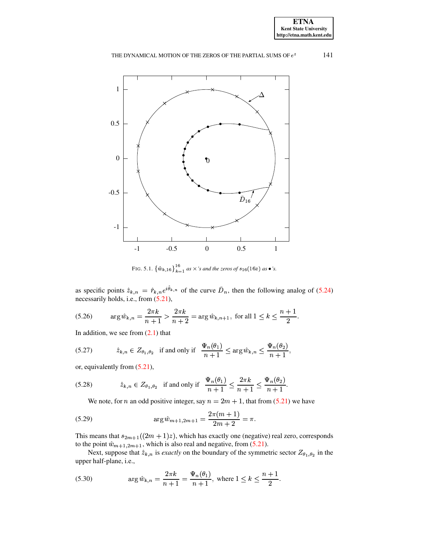

<span id="page-13-0"></span>FIG. 5.1.  $\{\hat{w}_{k,16}\}_{k=1}^{16}$  as  $\times$ 's and the zeros of  $s_{16}(16z)$  as  $\bullet$ 's.

as specific points  $\hat{z}_{k,n} = \hat{r}_{k,n} e^{i\theta_{k,n}}$  $n e^{i\theta_{k,n}}$  of the curve  $D_n$ , then the following analog of [\(5.24\)](#page-12-2) necessarily holds, i.e., from [\(5.21\)](#page-12-1),

(5.26) 
$$
\arg \hat{w}_{k,n} = \frac{2\pi k}{n+1} > \frac{2\pi k}{n+2} = \arg \hat{w}_{k,n+1}, \text{ for all } 1 \leq k \leq \frac{n+1}{2}.
$$

In addition, we see from  $(2.1)$  that

}<sup>P</sup>V <sup>y</sup> <sup>6</sup> <sup>8</sup> if and only if <sup>J</sup><sup>y</sup> {» <sup>~</sup> ¦¸ -. <sup>Û</sup><sup>P</sup> z <sup>y</sup> <sup>J</sup><sup>y</sup> {¨z~ ©¦¸ (5.27)

or, equivalently from [\(5.21\)](#page-12-1),

(5.28) 
$$
\hat{z}_{k,n} \in Z_{\theta_1, \theta_2}
$$
 if and only if  $\frac{\Psi_n(\theta_1)}{n+1} \le \frac{2\pi k}{n+1} \le \frac{\Psi_n(\theta_2)}{n+1}$ .

We note, for *n* an odd positive integer, say  $n = 2m + 1$ , that from [\(5.21\)](#page-12-1) we have

(5.29) 
$$
\arg \hat{w}_{m+1,2m+1} = \frac{2\pi(m+1)}{2m+2} = \pi.
$$

This means that  $s_{2m+1}((2m+1)z)$ , which has exactly one (negative) real zero, corresponds to the point  $\hat{w}_{m+1,2m+1}$ , which is also real and negative, from [\(5.21\)](#page-12-1).

Next, suppose that  $\hat{z}_{k,n}$  is *exactly* on the boundary of the symmetric sector  $Z_{\theta_1, \theta_2}$  in the upper half-plane, i.e.,

<span id="page-13-1"></span>(5.30) 
$$
\arg \hat{w}_{k,n} = \frac{2\pi k}{n+1} = \frac{\Psi_n(\theta_1)}{n+1}, \text{ where } 1 \le k \le \frac{n+1}{2}.
$$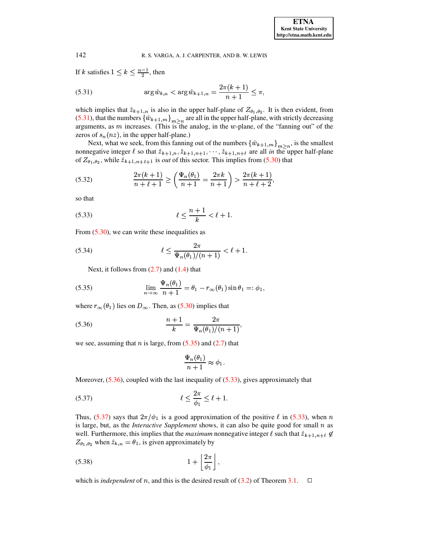If k satisfies  $1 \leq k \leq \frac{n-1}{2}$ , then

<span id="page-14-0"></span>(5.31) 
$$
\arg \hat{w}_{k,n} < \arg \hat{w}_{k+1,n} = \frac{2\pi(k+1)}{n+1} \leq \pi,
$$

which implies that  $\hat{z}_{k+1,n}$  is also in the upper half-plane of  $Z_{\theta_1,\theta_2}$ . It is then evident, from [\(5.31\)](#page-14-0), that the numbers  $\{\hat{w}_{k+1,m}\}_{m>n}$  are all in the upper half-plane, with strictly decreasing arguments, as  $m$  increases. (This is the analog, in the  $w$ -plane, of the "fanning out" of the zeros of  $s_n(nz)$ , in the upper half-plane.)

Next, what we seek, from this fanning out of the numbers  $\{\hat{w}_{k+1,m}\}_{m\geq n}$ , is the smallest nonnegative integer  $\ell$  so that  $\hat{z}_{k+1,n}, \hat{z}_{k+1,n+1}, \dots, \hat{z}_{k+1,n+\ell}$  are all *in* the upper half-plane of  $Z_{\theta_1,\theta_2}$ , while  $\hat{z}_{k+1,n+\ell+1}$  is *out* of this sector. This implies from [\(5.30\)](#page-13-1) that

(5.32) 
$$
\frac{2\pi(k+1)}{n+\ell+1} \ge \left(\frac{\Psi_n(\theta_1)}{n+1} = \frac{2\pi k}{n+1}\right) > \frac{2\pi(k+1)}{n+\ell+2},
$$

so that

<span id="page-14-3"></span>(5.33) 
$$
\ell \leq \frac{n+1}{k} < \ell + 1.
$$

From  $(5.30)$ , we can write these inequalities as

(5.34) 
$$
\ell \leq \frac{2\pi}{\Psi_n(\theta_1)/(n+1)} < \ell + 1.
$$

<span id="page-14-1"></span>Next, it follows from  $(2.7)$  and  $(1.4)$  that

(5.35) 
$$
\lim_{n \to \infty} \frac{\Psi_n(\theta_1)}{n+1} = \theta_1 - r_{\infty}(\theta_1) \sin \theta_1 =: \phi_1,
$$

where  $r_{\infty}(\theta_1)$  lies on  $D_{\infty}$ . Then, as [\(5.30\)](#page-13-1) implies that

<span id="page-14-2"></span>(5.36) 
$$
\frac{n+1}{k} = \frac{2\pi}{\Psi_n(\theta_1)/(n+1)},
$$

we see, assuming that *n* is large, from  $(5.35)$  and  $(2.7)$  that

$$
\frac{\Psi_n(\theta_1)}{n+1} \approx \phi_1.
$$

Moreover,  $(5.36)$ , coupled with the last inequality of  $(5.33)$ , gives approximately that

<span id="page-14-4"></span>
$$
\ell \le \frac{2\pi}{\phi_1} \le \ell + 1.
$$

Thus, [\(5.37\)](#page-14-4) says that  $2\pi/\phi_1$  is a good approximation of the positive  $\ell$  in [\(5.33\)](#page-14-3), when n is large, but, as the *Interactive Supplement* shows, it can also be quite good for small *n* as well. Furthermore, this implies that the *maximum* nonnegative integer  $\ell$  such that  $\hat{z}_{k+1,n+\ell} \notin$  $Z_{\theta_1,\theta_2}$  when  $\hat{z}_{k,n} = \theta_1$ , is given approximately by

$$
(5.38)\t\t\t 1 + \left\lfloor \frac{2\pi}{\phi_1} \right\rfloor,
$$

which is *independent* of *n*, and this is the desired result of [\(3.2\)](#page-6-1) of Theorem [3.1.](#page-6-2)  $\square$